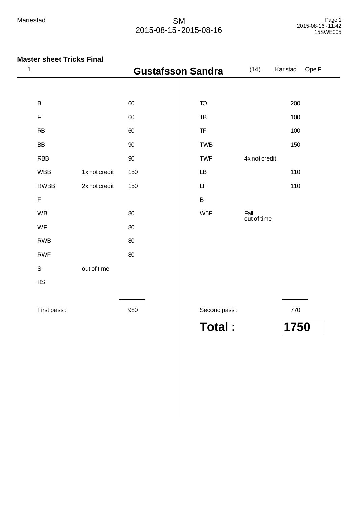| 1           |               | <b>Gustafsson Sandra</b> |                                                  | (14)                | Ope F<br>Karlstad |
|-------------|---------------|--------------------------|--------------------------------------------------|---------------------|-------------------|
|             |               |                          |                                                  |                     |                   |
| $\sf B$     |               | 60                       | $\overline{10}$                                  |                     | 200               |
| $\mathsf F$ |               | 60                       | $\mathsf{T}\mathsf{B}$                           |                     | 100               |
| RB          |               | 60                       | $\ensuremath{\mathsf{T}}\ensuremath{\mathsf{F}}$ |                     | 100               |
| <b>BB</b>   |               | 90                       | <b>TWB</b>                                       |                     | 150               |
| <b>RBB</b>  |               | $90\,$                   | <b>TWF</b>                                       | 4x not credit       |                   |
| <b>WBB</b>  | 1x not credit | 150                      | LB                                               |                     | 110               |
| <b>RWBB</b> | 2x not credit | 150                      | LF                                               |                     | 110               |
| $\mathsf F$ |               |                          | $\sf B$                                          |                     |                   |
| <b>WB</b>   |               | 80                       | W <sub>5F</sub>                                  | Fall<br>out of time |                   |
| WF          |               | 80                       |                                                  |                     |                   |
| <b>RWB</b>  |               | 80                       |                                                  |                     |                   |
| <b>RWF</b>  |               | 80                       |                                                  |                     |                   |
| $\mathsf S$ | out of time   |                          |                                                  |                     |                   |
| ${\sf RS}$  |               |                          |                                                  |                     |                   |
| First pass: |               | 980                      | Second pass:                                     |                     | 770               |
|             |               |                          | <b>Total:</b>                                    |                     | 1750              |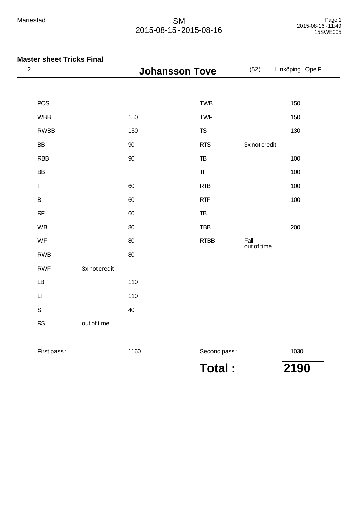| $\sqrt{2}$             |               | <b>Johansson Tove</b> |                                                  | (52)                | Linköping Ope F |
|------------------------|---------------|-----------------------|--------------------------------------------------|---------------------|-----------------|
|                        |               |                       |                                                  |                     |                 |
| <b>POS</b>             |               |                       | <b>TWB</b>                                       |                     | 150             |
| <b>WBB</b>             |               | 150                   | <b>TWF</b>                                       |                     | 150             |
| <b>RWBB</b>            |               | 150                   | ${\tt TS}$                                       |                     | 130             |
| ${\sf BB}$             |               | 90                    | <b>RTS</b>                                       | 3x not credit       |                 |
| <b>RBB</b>             |               | 90                    | $\mathbb{T}\mathbb{B}$                           |                     | 100             |
| BB                     |               |                       | $\ensuremath{\mathsf{T}}\ensuremath{\mathsf{F}}$ |                     | 100             |
| $\mathsf F$            |               | 60                    | <b>RTB</b>                                       |                     | 100             |
| $\sf B$                |               | 60                    | <b>RTF</b>                                       |                     | 100             |
| $\sf RF$               |               | 60                    | $\ensuremath{\mathsf{TB}}$                       |                     |                 |
| WB                     |               | 80                    | <b>TBB</b>                                       |                     | 200             |
| WF                     |               | 80                    | <b>RTBB</b>                                      | Fall<br>out of time |                 |
| <b>RWB</b>             |               | 80                    |                                                  |                     |                 |
| <b>RWF</b>             | 3x not credit |                       |                                                  |                     |                 |
| $\mathsf{L}\mathsf{B}$ |               | 110                   |                                                  |                     |                 |
| LF                     |               | 110                   |                                                  |                     |                 |
| $\mathsf S$            |               | 40                    |                                                  |                     |                 |
| RS                     | out of time   |                       |                                                  |                     |                 |
| First pass:            |               | 1160                  | Second pass:                                     |                     | 1030            |
|                        |               |                       | <b>Total:</b>                                    |                     | 2190            |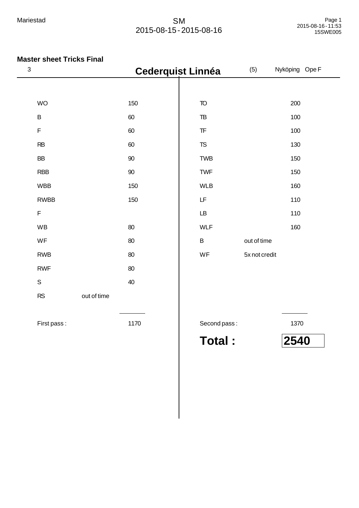| $\mathbf{3}$ |                          | <b>Cederquist Linnéa</b> |                | (5)           | Nyköping Ope F |
|--------------|--------------------------|--------------------------|----------------|---------------|----------------|
|              |                          |                          |                |               |                |
|              | <b>WO</b>                | 150                      | <b>TO</b>      |               | 200            |
|              | $\sf B$                  | 60                       | T <sub>B</sub> |               | 100            |
|              | F                        | 60                       | T <sub>F</sub> |               | 100            |
|              | <b>RB</b>                | 60                       | <b>TS</b>      |               | 130            |
|              | <b>BB</b>                | 90                       | <b>TWB</b>     |               | 150            |
|              | <b>RBB</b>               | 90                       | <b>TWF</b>     |               | 150            |
|              | <b>WBB</b>               | 150                      | <b>WLB</b>     |               | 160            |
|              | <b>RWBB</b>              | 150                      | LF             |               | 110            |
|              | $\mathsf F$              |                          | LB             |               | 110            |
|              | WB                       | 80                       | <b>WLF</b>     |               | 160            |
|              | WF                       | 80                       | $\sf B$        | out of time   |                |
|              | <b>RWB</b>               | 80                       | WF             | 5x not credit |                |
|              | <b>RWF</b>               | 80                       |                |               |                |
|              | $\mathsf S$              | 40                       |                |               |                |
|              | <b>RS</b><br>out of time |                          |                |               |                |
|              | First pass:              | 1170                     | Second pass:   |               | 1370           |
|              |                          |                          | <b>Total:</b>  |               | 2540           |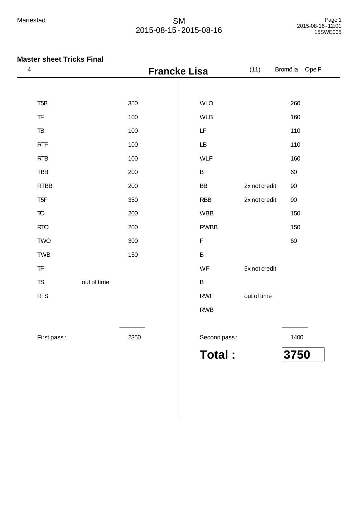| $\overline{\mathbf{4}}$                          |             |      | <b>Francke Lisa</b> |               | (11)          | Bromölla<br>Ope F |
|--------------------------------------------------|-------------|------|---------------------|---------------|---------------|-------------------|
|                                                  |             |      |                     |               |               |                   |
| T <sub>5</sub> B                                 |             | 350  |                     | <b>WLO</b>    |               | 260               |
| $\ensuremath{\mathsf{T}}\ensuremath{\mathsf{F}}$ |             | 100  |                     | <b>WLB</b>    |               | 160               |
| ${\tt TB}$                                       |             | 100  | LF                  |               |               | 110               |
| RTF                                              |             | 100  | LB                  |               |               | 110               |
| <b>RTB</b>                                       |             | 100  | <b>WLF</b>          |               |               | 160               |
| <b>TBB</b>                                       |             | 200  | $\sf B$             |               |               | 60                |
| <b>RTBB</b>                                      |             | 200  | <b>BB</b>           |               | 2x not credit | 90                |
| T <sub>5F</sub>                                  |             | 350  | <b>RBB</b>          |               | 2x not credit | 90                |
| $\mathsf T\!\mathsf O$                           |             | 200  |                     | <b>WBB</b>    |               | 150               |
| <b>RTO</b>                                       |             | 200  |                     | <b>RWBB</b>   |               | 150               |
| <b>TWO</b>                                       |             | 300  | $\mathsf F$         |               |               | 60                |
| <b>TWB</b>                                       |             | 150  | $\sf B$             |               |               |                   |
| $\ensuremath{\mathsf{T}}\ensuremath{\mathsf{F}}$ |             |      | WF                  |               | 5x not credit |                   |
| <b>TS</b>                                        | out of time |      | B                   |               |               |                   |
| <b>RTS</b>                                       |             |      |                     | <b>RWF</b>    | out of time   |                   |
|                                                  |             |      |                     | <b>RWB</b>    |               |                   |
|                                                  |             |      |                     |               |               |                   |
| First pass:                                      |             | 2350 |                     | Second pass:  |               | 1400              |
|                                                  |             |      |                     | <b>Total:</b> |               | 3750              |